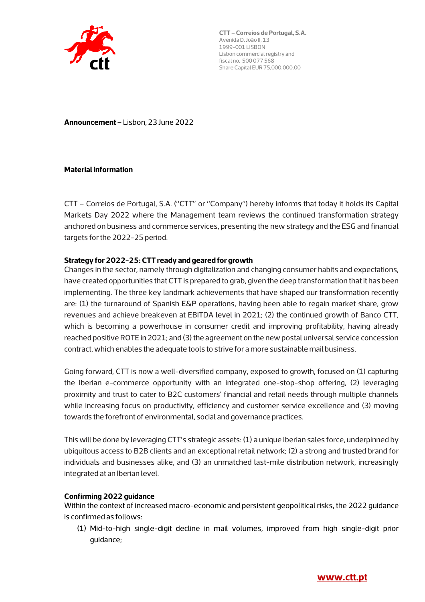

**Announcement –** Lisbon, 23 June 2022

#### **Material information**

CTT – Correios de Portugal, S.A. ("CTT" or "Company") hereby informs that today it holds its Capital Markets Day 2022 where the Management team reviews the continued transformation strategy anchored on business and commerce services, presenting the new strategy and the ESG and financial targets for the 2022-25 period.

#### **Strategy for 2022-25: CTT ready and geared for growth**

Changes in the sector, namely through digitalization and changing consumer habits and expectations, have created opportunities that CTT is prepared to grab, given the deep transformation that it has been implementing. The three key landmark achievements that have shaped our transformation recently are: (1) the turnaround of Spanish E&P operations, having been able to regain market share, grow revenues and achieve breakeven at EBITDA level in 2021; (2) the continued growth of Banco CTT, which is becoming a powerhouse in consumer credit and improving profitability, having already reached positive ROTE in 2021; and (3) the agreement on the new postal universal service concession contract, which enables the adequate tools to strive for a more sustainable mail business.

Going forward, CTT is now a well-diversified company, exposed to growth, focused on (1) capturing the Iberian e-commerce opportunity with an integrated one-stop-shop offering, (2) leveraging proximity and trust to cater to B2C customers' financial and retail needs through multiple channels while increasing focus on productivity, efficiency and customer service excellence and (3) moving towards the forefront of environmental, social and governance practices.

This will be done by leveraging CTT's strategic assets: (1) a unique Iberian sales force, underpinned by ubiquitous access to B2B clients and an exceptional retail network; (2) a strong and trusted brand for individuals and businesses alike, and (3) an unmatched last-mile distribution network, increasingly integrated at an Iberian level.

## **Confirming 2022 guidance**

Within the context of increased macro-economic and persistent geopolitical risks, the 2022 quidance is confirmed as follows:

(1) Mid-to-high single-digit decline in mail volumes, improved from high single-digit prior guidance;

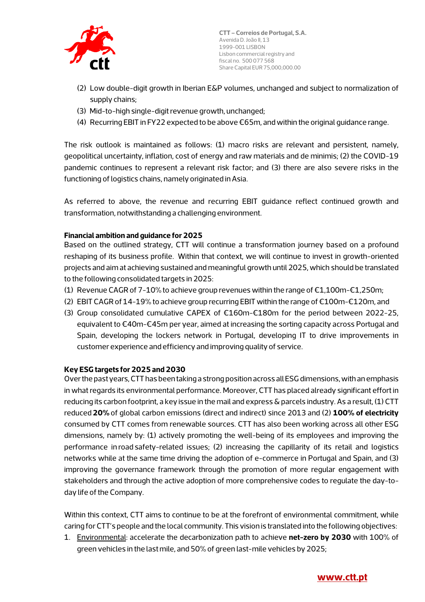

- (2) Low double-digit growth in Iberian E&P volumes, unchanged and subject to normalization of supply chains;
- (3) Mid-to-high single-digit revenue growth, unchanged;
- (4) Recurring EBIT in FY22 expected to be above €65m, and within the original guidance range.

The risk outlook is maintained as follows: (1) macro risks are relevant and persistent, namely, geopolitical uncertainty, inflation, cost of energy and raw materials and de minimis; (2) the COVID-19 pandemic continues to represent a relevant risk factor; and (3) there are also severe risks in the functioning of logistics chains, namely originated in Asia.

As referred to above, the revenue and recurring EBIT guidance reflect continued growth and transformation, notwithstanding a challenging environment.

## **Financial ambition and guidance for 2025**

Based on the outlined strategy, CTT will continue a transformation journey based on a profound reshaping of its business profile. Within that context, we will continue to invest in growth-oriented projects and aim at achieving sustained and meaningful growth until 2025, which should be translated to the following consolidated targets in 2025:

- (1) Revenue CAGR of 7-10% to achieve group revenues within the range of  $\epsilon$ 1,100m- $\epsilon$ 1,250m;
- (2) EBIT CAGR of 14-19% to achieve group recurring EBIT within the range of €100m-€120m, and
- (3) Group consolidated cumulative CAPEX of €160m-€180m for the period between 2022-25, equivalent to €40m-€45m per year, aimed at increasing the sorting capacity across Portugal and Spain, developing the lockers network in Portugal, developing IT to drive improvements in customer experience and efficiency and improving quality of service.

## **Key ESG targets for 2025 and 2030**

Over the past years, CTT has been taking a strong position across all ESG dimensions, with an emphasis in what regards its environmental performance. Moreover, CTT has placed already significant effort in reducing its carbon footprint, a key issue in the mail and express & parcels industry. As a result, (1) CTT reduced **20%** of global carbon emissions (direct and indirect) since 2013 and (2) **100% of electricity**  consumed by CTT comes from renewable sources. CTT has also been working across all other ESG dimensions, namely by: (1) actively promoting the well-being of its employees and improving the performance in road safety-related issues; (2) increasing the capillarity of its retail and logistics networks while at the same time driving the adoption of e-commerce in Portugal and Spain, and (3) improving the governance framework through the promotion of more regular engagement with stakeholders and through the active adoption of more comprehensive codes to regulate the day-today life of the Company.

Within this context, CTT aims to continue to be at the forefront of environmental commitment, while caring for CTT's people and the local community. This vision is translated into the following objectives:

1. Environmental: accelerate the decarbonization path to achieve **net-zero by 2030** with 100% of green vehicles in the last mile, and 50% of green last-mile vehicles by 2025;

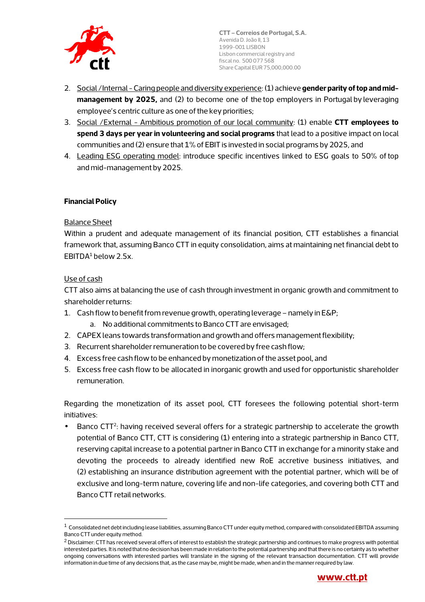

- 2. Social /Internal Caring people and diversity experience: (1) achieve **gender parity of top and midmanagement by 2025,** and (2) to become one of the top employers in Portugal by leveraging employee's centric culture as one of the key priorities;
- 3. Social /External Ambitious promotion of our local community: (1) enable **CTT employees to spend 3 days per year in volunteering and social programs** that lead to a positive impact on local communities and (2) ensure that 1% of EBIT is invested in social programs by 2025, and
- 4. Leading ESG operating model: introduce specific incentives linked to ESG goals to 50% of top and mid-management by 2025.

# **Financial Policy**

## Balance Sheet

Within a prudent and adequate management of its financial position, CTT establishes a financial framework that, assuming Banco CTT in equity consolidation, aims at maintaining net financial debt to  $EBITDA<sup>1</sup>$  below 2.5x.

## Use of cash

CTT also aims at balancing the use of cash through investment in organic growth and commitment to shareholder returns:

- 1. Cash flow to benefit from revenue growth, operating leverage namely in E&P;
	- a. No additional commitments to Banco CTT are envisaged;
- 2. CAPEX leans towards transformation and growth and offers management flexibility;
- 3. Recurrent shareholder remuneration to be covered by free cash flow;
- 4. Excess free cash flow to be enhanced by monetization of the asset pool, and
- 5. Excess free cash flow to be allocated in inorganic growth and used for opportunistic shareholder remuneration.

Regarding the monetization of its asset pool, CTT foresees the following potential short-term initiatives:

 $\bullet$  Banco CTT<sup>2</sup>: having received several offers for a strategic partnership to accelerate the growth potential of Banco CTT, CTT is considering (1) entering into a strategic partnership in Banco CTT, reserving capital increase to a potential partner in Banco CTT in exchange for a minority stake and devoting the proceeds to already identified new RoE accretive business initiatives, and (2) establishing an insurance distribution agreement with the potential partner, which will be of exclusive and long-term nature, covering life and non-life categories, and covering both CTT and Banco CTT retail networks.

 $^2$  Disclaimer: CTT has received several offers of interest to establish the strategic partnership and continues to make progress with potential interested parties. It is noted that no decision has been made in relation to the potential partnership and that there is no certainty as to whether ongoing conversations with interested parties will translate in the signing of the relevant transaction documentation. CTT will provide information in due time of any decisions that, as the case may be, might be made, when and in the manner required by law.



 $1$  Consolidated net debt including lease liabilities, assuming Banco CTT under equity method, compared with consolidated EBITDA assuming Banco CTT under equity method.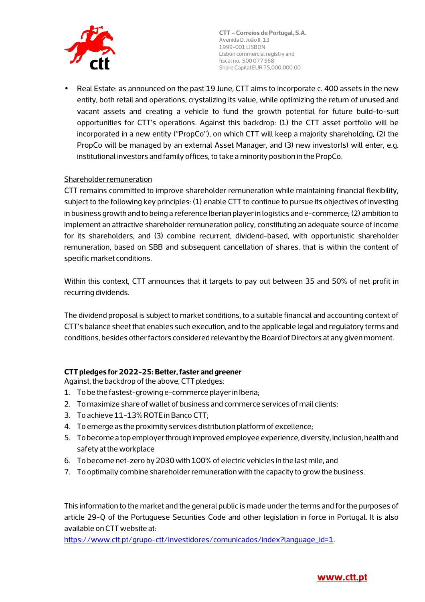

• Real Estate: as announced on the past 19 June, CTT aims to incorporate c. 400 assets in the new entity, both retail and operations, crystalizing its value, while optimizing the return of unused and vacant assets and creating a vehicle to fund the growth potential for future build-to-suit opportunities for CTT's operations. Against this backdrop: (1) the CTT asset portfolio will be incorporated in a new entity ("PropCo"), on which CTT will keep a majority shareholding, (2) the PropCo will be managed by an external Asset Manager, and (3) new investor(s) will enter, e.g. institutional investors and family offices, to take a minority position in the PropCo.

# Shareholder remuneration

CTT remains committed to improve shareholder remuneration while maintaining financial flexibility, subject to the following key principles: (1) enable CTT to continue to pursue its objectives of investing in business growth and to being a reference Iberian player in logistics and e-commerce; (2) ambition to implement an attractive shareholder remuneration policy, constituting an adequate source of income for its shareholders, and (3) combine recurrent, dividend-based, with opportunistic shareholder remuneration, based on SBB and subsequent cancellation of shares, that is within the content of specific market conditions.

Within this context, CTT announces that it targets to pay out between 35 and 50% of net profit in recurring dividends.

The dividend proposal is subject to market conditions, to a suitable financial and accounting context of CTT's balance sheet that enables such execution, and to the applicable legal and regulatory terms and conditions, besides other factors considered relevant by the Board of Directors at any given moment.

# **CTT pledges for 2022-25: Better, faster and greener**

Against, the backdrop of the above, CTT pledges:

- 1. To be the fastest-growing e-commerce player in Iberia;
- 2. To maximize share of wallet of business and commerce services of mail clients;
- 3. To achieve 11-13% ROTE in Banco CTT;
- 4. To emerge as the proximity services distribution platform of excellence;
- 5. To become a top employer through improved employee experience, diversity, inclusion, health and safety at the workplace
- 6. To become net-zero by 2030 with 100% of electric vehicles in the last mile, and
- 7. To optimally combine shareholder remuneration with the capacity to grow the business.

This information to the market and the general public is made under the terms and for the purposes of article 29-Q of the Portuguese Securities Code and other legislation in force in Portugal. It is also available on CTT website at:

https://www.ctt.pt/grupo-ctt/investidores/comunicados/index?language\_id=1.